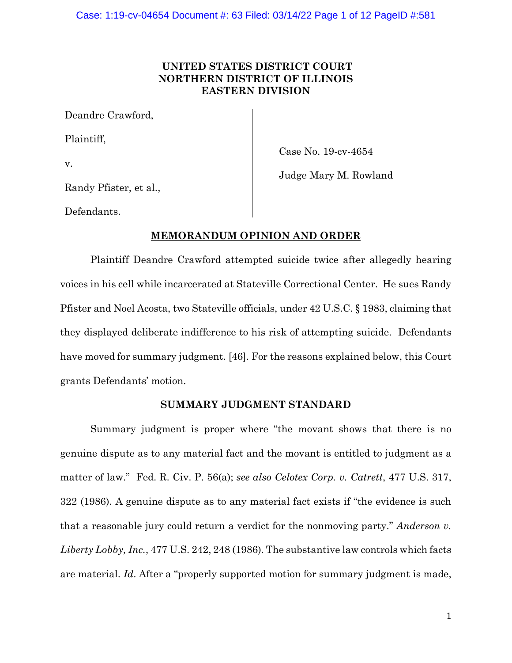# **UNITED STATES DISTRICT COURT NORTHERN DISTRICT OF ILLINOIS EASTERN DIVISION**

Deandre Crawford,

Plaintiff,

v.

Case No. 19-cv-4654

Judge Mary M. Rowland

Randy Pfister, et al.,

Defendants.

# **MEMORANDUM OPINION AND ORDER**

Plaintiff Deandre Crawford attempted suicide twice after allegedly hearing voices in his cell while incarcerated at Stateville Correctional Center. He sues Randy Pfister and Noel Acosta, two Stateville officials, under 42 U.S.C. § 1983, claiming that they displayed deliberate indifference to his risk of attempting suicide. Defendants have moved for summary judgment. [46]. For the reasons explained below, this Court grants Defendants' motion.

# **SUMMARY JUDGMENT STANDARD**

Summary judgment is proper where "the movant shows that there is no genuine dispute as to any material fact and the movant is entitled to judgment as a matter of law." Fed. R. Civ. P. 56(a); *see also Celotex Corp. v. Catrett*, 477 U.S. 317, 322 (1986). A genuine dispute as to any material fact exists if "the evidence is such that a reasonable jury could return a verdict for the nonmoving party." *Anderson v. Liberty Lobby, Inc.*, 477 U.S. 242, 248 (1986). The substantive law controls which facts are material. *Id*. After a "properly supported motion for summary judgment is made,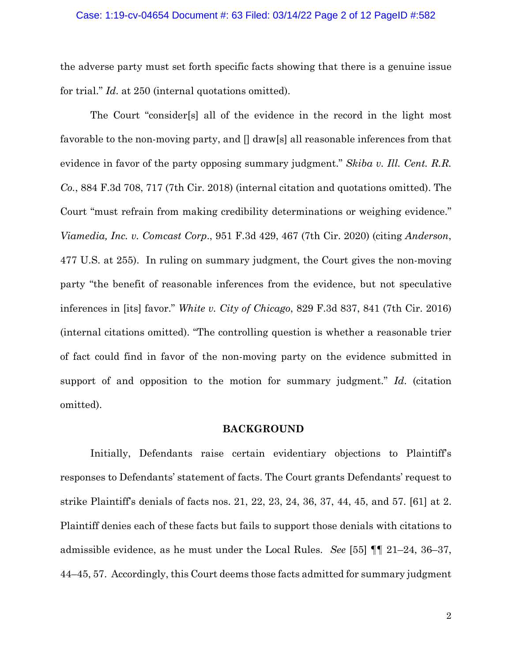### Case: 1:19-cv-04654 Document #: 63 Filed: 03/14/22 Page 2 of 12 PageID #:582

the adverse party must set forth specific facts showing that there is a genuine issue for trial." *Id*. at 250 (internal quotations omitted).

The Court "consider[s] all of the evidence in the record in the light most favorable to the non-moving party, and  $\parallel$  draw[s] all reasonable inferences from that evidence in favor of the party opposing summary judgment." *Skiba v. Ill. Cent. R.R. Co.*, 884 F.3d 708, 717 (7th Cir. 2018) (internal citation and quotations omitted). The Court "must refrain from making credibility determinations or weighing evidence." *Viamedia, Inc. v. Comcast Corp*., 951 F.3d 429, 467 (7th Cir. 2020) (citing *Anderson*, 477 U.S. at 255). In ruling on summary judgment, the Court gives the non-moving party "the benefit of reasonable inferences from the evidence, but not speculative inferences in [its] favor." *White v. City of Chicago*, 829 F.3d 837, 841 (7th Cir. 2016) (internal citations omitted). "The controlling question is whether a reasonable trier of fact could find in favor of the non-moving party on the evidence submitted in support of and opposition to the motion for summary judgment." *Id*. (citation omitted).

# **BACKGROUND**

Initially, Defendants raise certain evidentiary objections to Plaintiff's responses to Defendants' statement of facts. The Court grants Defendants' request to strike Plaintiff's denials of facts nos. 21, 22, 23, 24, 36, 37, 44, 45, and 57. [61] at 2. Plaintiff denies each of these facts but fails to support those denials with citations to admissible evidence, as he must under the Local Rules. *See* [55] ¶¶ 21–24, 36–37, 44–45, 57. Accordingly, this Court deems those facts admitted for summary judgment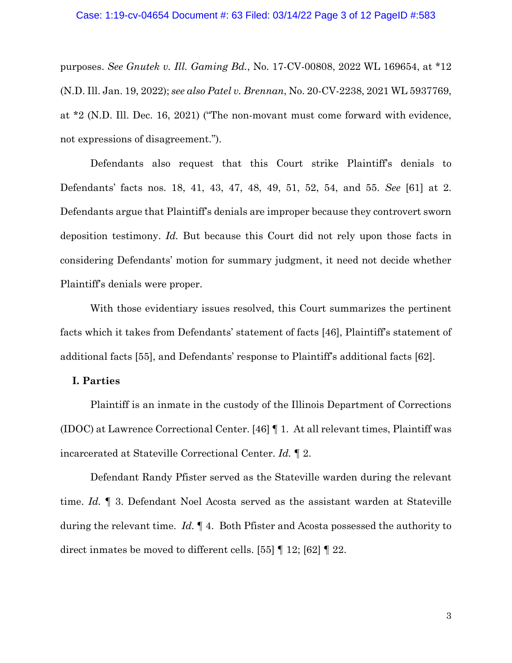#### Case: 1:19-cv-04654 Document #: 63 Filed: 03/14/22 Page 3 of 12 PageID #:583

purposes. *See Gnutek v. Ill. Gaming Bd.*, No. 17-CV-00808, 2022 WL 169654, at \*12 (N.D. Ill. Jan. 19, 2022); *see also Patel v. Brennan*, No. 20-CV-2238, 2021 WL 5937769, at \*2 (N.D. Ill. Dec. 16, 2021) ("The non-movant must come forward with evidence, not expressions of disagreement.").

Defendants also request that this Court strike Plaintiff's denials to Defendants' facts nos. 18, 41, 43, 47, 48, 49, 51, 52, 54, and 55. *See* [61] at 2. Defendants argue that Plaintiff's denials are improper because they controvert sworn deposition testimony. *Id.* But because this Court did not rely upon those facts in considering Defendants' motion for summary judgment, it need not decide whether Plaintiff's denials were proper.

With those evidentiary issues resolved, this Court summarizes the pertinent facts which it takes from Defendants' statement of facts [46], Plaintiff's statement of additional facts [55], and Defendants' response to Plaintiff's additional facts [62].

# **I. Parties**

Plaintiff is an inmate in the custody of the Illinois Department of Corrections (IDOC) at Lawrence Correctional Center. [46] ¶ 1. At all relevant times, Plaintiff was incarcerated at Stateville Correctional Center. *Id.* ¶ 2.

Defendant Randy Pfister served as the Stateville warden during the relevant time. *Id.* ¶ 3. Defendant Noel Acosta served as the assistant warden at Stateville during the relevant time. *Id.* ¶ 4. Both Pfister and Acosta possessed the authority to direct inmates be moved to different cells. [55] ¶ 12; [62] ¶ 22.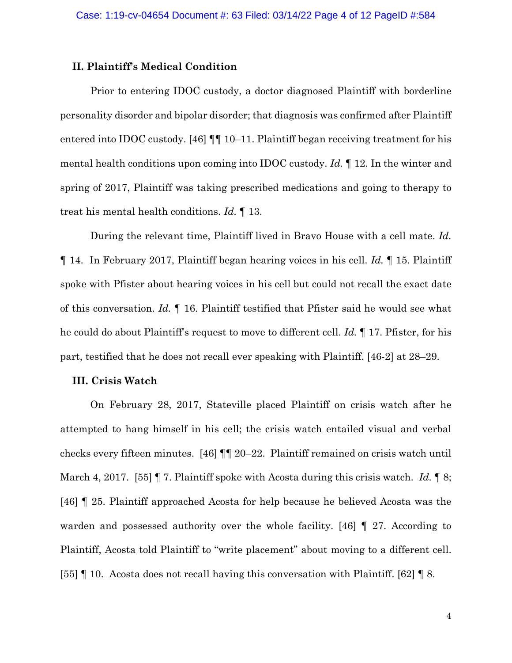# **II. Plaintiff's Medical Condition**

Prior to entering IDOC custody, a doctor diagnosed Plaintiff with borderline personality disorder and bipolar disorder; that diagnosis was confirmed after Plaintiff entered into IDOC custody. [46]  $\P\P$  10–11. Plaintiff began receiving treatment for his mental health conditions upon coming into IDOC custody. *Id.* ¶ 12. In the winter and spring of 2017, Plaintiff was taking prescribed medications and going to therapy to treat his mental health conditions. *Id.* ¶ 13.

During the relevant time, Plaintiff lived in Bravo House with a cell mate. *Id.* ¶ 14. In February 2017, Plaintiff began hearing voices in his cell. *Id.* ¶ 15. Plaintiff spoke with Pfister about hearing voices in his cell but could not recall the exact date of this conversation. *Id.* ¶ 16. Plaintiff testified that Pfister said he would see what he could do about Plaintiff's request to move to different cell. *Id.* ¶ 17. Pfister, for his part, testified that he does not recall ever speaking with Plaintiff. [46-2] at 28–29.

## **III. Crisis Watch**

On February 28, 2017, Stateville placed Plaintiff on crisis watch after he attempted to hang himself in his cell; the crisis watch entailed visual and verbal checks every fifteen minutes. [46] ¶¶ 20–22. Plaintiff remained on crisis watch until March 4, 2017. [55] ¶ 7. Plaintiff spoke with Acosta during this crisis watch. *Id.* ¶ 8; [46] ¶ 25. Plaintiff approached Acosta for help because he believed Acosta was the warden and possessed authority over the whole facility. [46]  $\parallel$  27. According to Plaintiff, Acosta told Plaintiff to "write placement" about moving to a different cell. [55] ¶ 10. Acosta does not recall having this conversation with Plaintiff. [62] ¶ 8.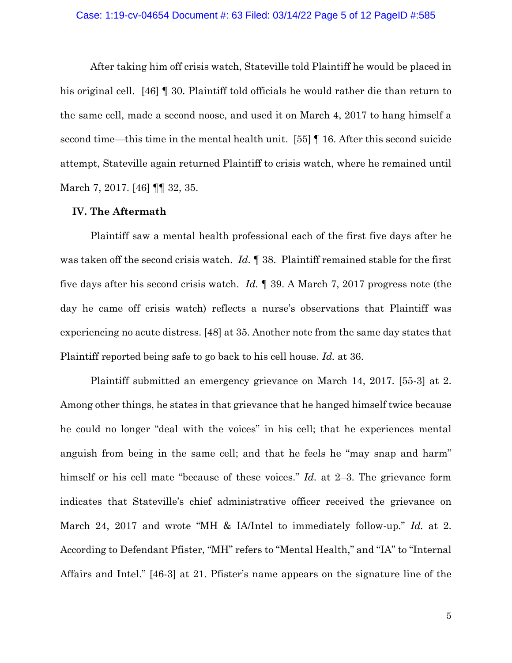#### Case: 1:19-cv-04654 Document #: 63 Filed: 03/14/22 Page 5 of 12 PageID #:585

After taking him off crisis watch, Stateville told Plaintiff he would be placed in his original cell. [46] **[** 30. Plaintiff told officials he would rather die than return to the same cell, made a second noose, and used it on March 4, 2017 to hang himself a second time—this time in the mental health unit. [55] ¶ 16. After this second suicide attempt, Stateville again returned Plaintiff to crisis watch, where he remained until March 7, 2017. [46] **[1]** 32, 35.

## **IV. The Aftermath**

Plaintiff saw a mental health professional each of the first five days after he was taken off the second crisis watch. *Id.* ¶ 38. Plaintiff remained stable for the first five days after his second crisis watch. *Id.* ¶ 39. A March 7, 2017 progress note (the day he came off crisis watch) reflects a nurse's observations that Plaintiff was experiencing no acute distress. [48] at 35. Another note from the same day states that Plaintiff reported being safe to go back to his cell house. *Id.* at 36.

Plaintiff submitted an emergency grievance on March 14, 2017. [55-3] at 2. Among other things, he states in that grievance that he hanged himself twice because he could no longer "deal with the voices" in his cell; that he experiences mental anguish from being in the same cell; and that he feels he "may snap and harm" himself or his cell mate "because of these voices." *Id.* at 2–3. The grievance form indicates that Stateville's chief administrative officer received the grievance on March 24, 2017 and wrote "MH & IA/Intel to immediately follow-up." *Id.* at 2. According to Defendant Pfister, "MH" refers to "Mental Health," and "IA" to "Internal Affairs and Intel." [46-3] at 21. Pfister's name appears on the signature line of the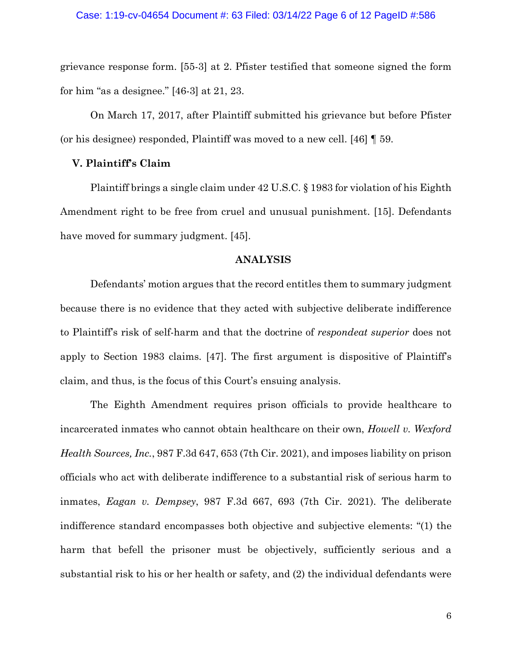grievance response form. [55-3] at 2. Pfister testified that someone signed the form for him "as a designee." [46-3] at 21, 23.

On March 17, 2017, after Plaintiff submitted his grievance but before Pfister (or his designee) responded, Plaintiff was moved to a new cell. [46] ¶ 59.

# **V. Plaintiff's Claim**

Plaintiff brings a single claim under 42 U.S.C. § 1983 for violation of his Eighth Amendment right to be free from cruel and unusual punishment. [15]. Defendants have moved for summary judgment. [45].

# **ANALYSIS**

Defendants' motion argues that the record entitles them to summary judgment because there is no evidence that they acted with subjective deliberate indifference to Plaintiff's risk of self-harm and that the doctrine of *respondeat superior* does not apply to Section 1983 claims. [47]. The first argument is dispositive of Plaintiff's claim, and thus, is the focus of this Court's ensuing analysis.

The Eighth Amendment requires prison officials to provide healthcare to incarcerated inmates who cannot obtain healthcare on their own, *Howell v. Wexford Health Sources, Inc.*, 987 F.3d 647, 653 (7th Cir. 2021), and imposes liability on prison officials who act with deliberate indifference to a substantial risk of serious harm to inmates, *Eagan v. Dempsey*, 987 F.3d 667, 693 (7th Cir. 2021). The deliberate indifference standard encompasses both objective and subjective elements: "(1) the harm that befell the prisoner must be objectively, sufficiently serious and a substantial risk to his or her health or safety, and (2) the individual defendants were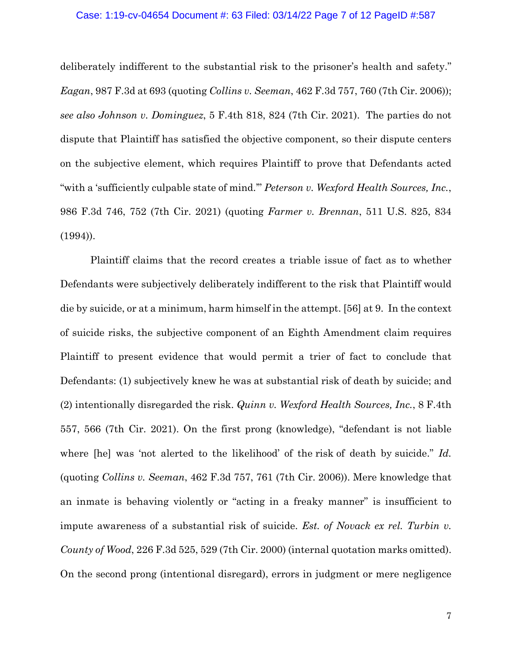## Case: 1:19-cv-04654 Document #: 63 Filed: 03/14/22 Page 7 of 12 PageID #:587

deliberately indifferent to the substantial risk to the prisoner's health and safety." *Eagan*, 987 F.3d at 693 (quoting *Collins v. Seeman*, 462 F.3d 757, 760 (7th Cir. 2006)); *see also Johnson v. Dominguez*, 5 F.4th 818, 824 (7th Cir. 2021). The parties do not dispute that Plaintiff has satisfied the objective component, so their dispute centers on the subjective element, which requires Plaintiff to prove that Defendants acted "with a 'sufficiently culpable state of mind.'" *Peterson v. Wexford Health Sources, Inc.*, 986 F.3d 746, 752 (7th Cir. 2021) (quoting *Farmer v. Brennan*, 511 U.S. 825, 834 (1994)).

Plaintiff claims that the record creates a triable issue of fact as to whether Defendants were subjectively deliberately indifferent to the risk that Plaintiff would die by suicide, or at a minimum, harm himself in the attempt. [56] at 9. In the context of suicide risks, the subjective component of an Eighth Amendment claim requires Plaintiff to present evidence that would permit a trier of fact to conclude that Defendants: (1) subjectively knew he was at substantial risk of death by suicide; and (2) intentionally disregarded the risk. *Quinn v. Wexford Health Sources, Inc.*, 8 F.4th 557, 566 (7th Cir. 2021). On the first prong (knowledge), "defendant is not liable where [he] was 'not alerted to the likelihood' of the risk of death by suicide." *Id.* (quoting *Collins v. Seeman*, 462 F.3d 757, 761 (7th Cir. 2006)). Mere knowledge that an inmate is behaving violently or "acting in a freaky manner" is insufficient to impute awareness of a substantial risk of suicide. *Est. of Novack ex rel. Turbin v. County of Wood*, 226 F.3d 525, 529 (7th Cir. 2000) (internal quotation marks omitted). On the second prong (intentional disregard), errors in judgment or mere negligence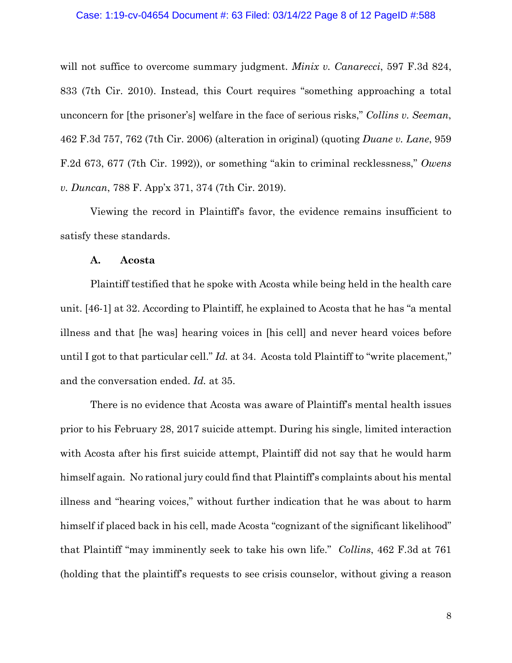#### Case: 1:19-cv-04654 Document #: 63 Filed: 03/14/22 Page 8 of 12 PageID #:588

will not suffice to overcome summary judgment. *Minix v. Canarecci*, 597 F.3d 824, 833 (7th Cir. 2010). Instead, this Court requires "something approaching a total unconcern for [the prisoner's] welfare in the face of serious risks," *Collins v. Seeman*, 462 F.3d 757, 762 (7th Cir. 2006) (alteration in original) (quoting *Duane v. Lane*, 959 F.2d 673, 677 (7th Cir. 1992)), or something "akin to criminal recklessness," *Owens v. Duncan*, 788 F. App'x 371, 374 (7th Cir. 2019).

Viewing the record in Plaintiff's favor, the evidence remains insufficient to satisfy these standards.

## **A. Acosta**

Plaintiff testified that he spoke with Acosta while being held in the health care unit. [46-1] at 32. According to Plaintiff, he explained to Acosta that he has "a mental illness and that [he was] hearing voices in [his cell] and never heard voices before until I got to that particular cell." *Id.* at 34. Acosta told Plaintiff to "write placement," and the conversation ended. *Id.* at 35.

There is no evidence that Acosta was aware of Plaintiff's mental health issues prior to his February 28, 2017 suicide attempt. During his single, limited interaction with Acosta after his first suicide attempt, Plaintiff did not say that he would harm himself again. No rational jury could find that Plaintiff's complaints about his mental illness and "hearing voices," without further indication that he was about to harm himself if placed back in his cell, made Acosta "cognizant of the significant likelihood" that Plaintiff "may imminently seek to take his own life." *Collins*, 462 F.3d at 761 (holding that the plaintiff's requests to see crisis counselor, without giving a reason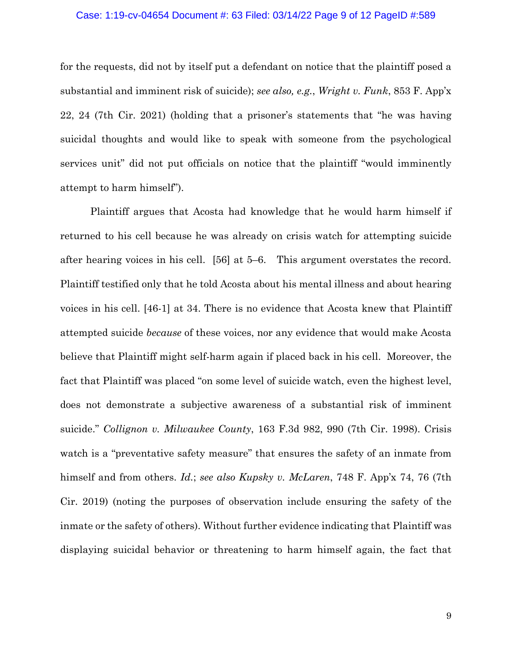## Case: 1:19-cv-04654 Document #: 63 Filed: 03/14/22 Page 9 of 12 PageID #:589

for the requests, did not by itself put a defendant on notice that the plaintiff posed a substantial and imminent risk of suicide); *see also, e.g.*, *Wright v. Funk*, 853 F. App'x 22, 24 (7th Cir. 2021) (holding that a prisoner's statements that "he was having suicidal thoughts and would like to speak with someone from the psychological services unit" did not put officials on notice that the plaintiff "would imminently attempt to harm himself").

Plaintiff argues that Acosta had knowledge that he would harm himself if returned to his cell because he was already on crisis watch for attempting suicide after hearing voices in his cell. [56] at 5–6. This argument overstates the record. Plaintiff testified only that he told Acosta about his mental illness and about hearing voices in his cell. [46-1] at 34. There is no evidence that Acosta knew that Plaintiff attempted suicide *because* of these voices, nor any evidence that would make Acosta believe that Plaintiff might self-harm again if placed back in his cell. Moreover, the fact that Plaintiff was placed "on some level of suicide watch, even the highest level, does not demonstrate a subjective awareness of a substantial risk of imminent suicide." *Collignon v. Milwaukee County*, 163 F.3d 982, 990 (7th Cir. 1998). Crisis watch is a "preventative safety measure" that ensures the safety of an inmate from himself and from others. *Id.*; *see also Kupsky v. McLaren*, 748 F. App'x 74, 76 (7th Cir. 2019) (noting the purposes of observation include ensuring the safety of the inmate or the safety of others). Without further evidence indicating that Plaintiff was displaying suicidal behavior or threatening to harm himself again, the fact that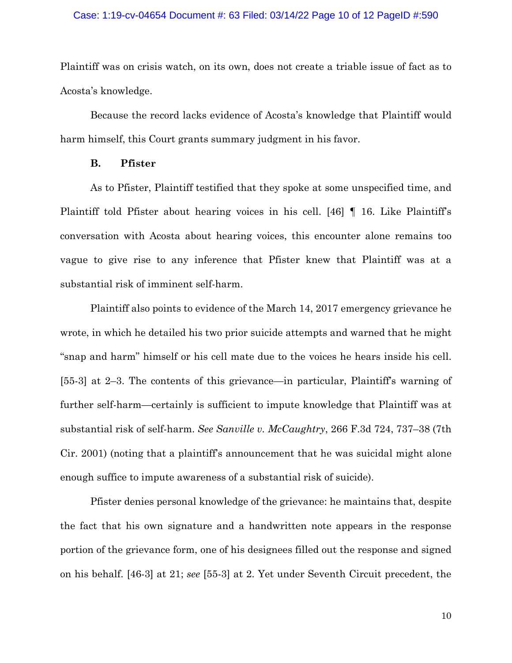## Case: 1:19-cv-04654 Document #: 63 Filed: 03/14/22 Page 10 of 12 PageID #:590

Plaintiff was on crisis watch, on its own, does not create a triable issue of fact as to Acosta's knowledge.

Because the record lacks evidence of Acosta's knowledge that Plaintiff would harm himself, this Court grants summary judgment in his favor.

## **B. Pfister**

As to Pfister, Plaintiff testified that they spoke at some unspecified time, and Plaintiff told Pfister about hearing voices in his cell. [46] ¶ 16. Like Plaintiff's conversation with Acosta about hearing voices, this encounter alone remains too vague to give rise to any inference that Pfister knew that Plaintiff was at a substantial risk of imminent self-harm.

Plaintiff also points to evidence of the March 14, 2017 emergency grievance he wrote, in which he detailed his two prior suicide attempts and warned that he might "snap and harm" himself or his cell mate due to the voices he hears inside his cell. [55-3] at 2–3. The contents of this grievance—in particular, Plaintiff's warning of further self-harm—certainly is sufficient to impute knowledge that Plaintiff was at substantial risk of self-harm. *See Sanville v. McCaughtry*, 266 F.3d 724, 737–38 (7th Cir. 2001) (noting that a plaintiff's announcement that he was suicidal might alone enough suffice to impute awareness of a substantial risk of suicide).

Pfister denies personal knowledge of the grievance: he maintains that, despite the fact that his own signature and a handwritten note appears in the response portion of the grievance form, one of his designees filled out the response and signed on his behalf. [46-3] at 21; *see* [55-3] at 2. Yet under Seventh Circuit precedent, the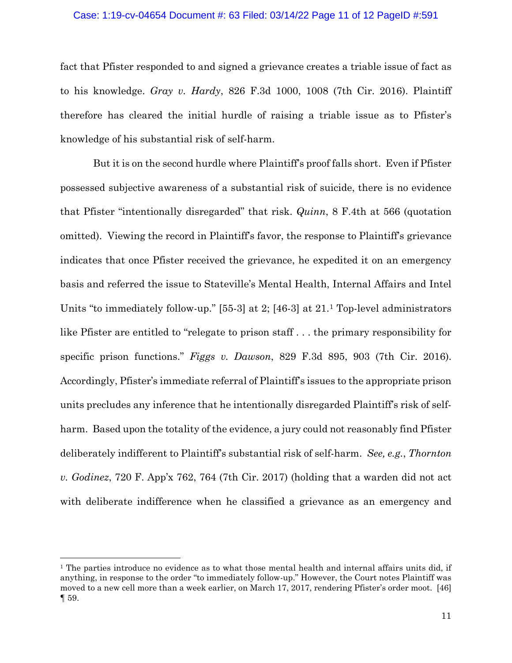## Case: 1:19-cv-04654 Document #: 63 Filed: 03/14/22 Page 11 of 12 PageID #:591

fact that Pfister responded to and signed a grievance creates a triable issue of fact as to his knowledge. *Gray v. Hardy*, 826 F.3d 1000, 1008 (7th Cir. 2016). Plaintiff therefore has cleared the initial hurdle of raising a triable issue as to Pfister's knowledge of his substantial risk of self-harm.

But it is on the second hurdle where Plaintiff's proof falls short. Even if Pfister possessed subjective awareness of a substantial risk of suicide, there is no evidence that Pfister "intentionally disregarded" that risk. *Quinn*, 8 F.4th at 566 (quotation omitted). Viewing the record in Plaintiff's favor, the response to Plaintiff's grievance indicates that once Pfister received the grievance, he expedited it on an emergency basis and referred the issue to Stateville's Mental Health, Internal Affairs and Intel Units "to immediately follow-up." [55-3] at 2; [46-3] at 21.[1](#page-10-0) Top-level administrators like Pfister are entitled to "relegate to prison staff . . . the primary responsibility for specific prison functions." *Figgs v. Dawson*, 829 F.3d 895, 903 (7th Cir. 2016). Accordingly, Pfister's immediate referral of Plaintiff's issues to the appropriate prison units precludes any inference that he intentionally disregarded Plaintiff's risk of selfharm. Based upon the totality of the evidence, a jury could not reasonably find Pfister deliberately indifferent to Plaintiff's substantial risk of self-harm. *See, e.g.*, *Thornton v. Godinez*, 720 F. App'x 762, 764 (7th Cir. 2017) (holding that a warden did not act with deliberate indifference when he classified a grievance as an emergency and

<span id="page-10-0"></span><sup>&</sup>lt;sup>1</sup> The parties introduce no evidence as to what those mental health and internal affairs units did, if anything, in response to the order "to immediately follow-up." However, the Court notes Plaintiff was moved to a new cell more than a week earlier, on March 17, 2017, rendering Pfister's order moot. [46] ¶ 59.